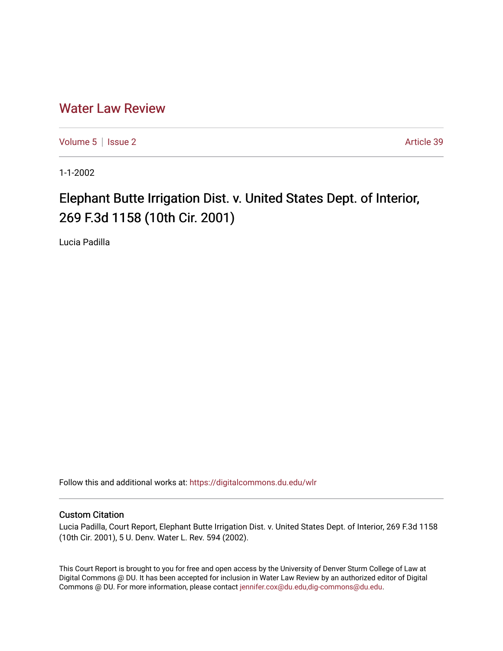## [Water Law Review](https://digitalcommons.du.edu/wlr)

[Volume 5](https://digitalcommons.du.edu/wlr/vol5) | [Issue 2](https://digitalcommons.du.edu/wlr/vol5/iss2) Article 39

1-1-2002

## Elephant Butte Irrigation Dist. v. United States Dept. of Interior, 269 F.3d 1158 (10th Cir. 2001)

Lucia Padilla

Follow this and additional works at: [https://digitalcommons.du.edu/wlr](https://digitalcommons.du.edu/wlr?utm_source=digitalcommons.du.edu%2Fwlr%2Fvol5%2Fiss2%2F39&utm_medium=PDF&utm_campaign=PDFCoverPages) 

## Custom Citation

Lucia Padilla, Court Report, Elephant Butte Irrigation Dist. v. United States Dept. of Interior, 269 F.3d 1158 (10th Cir. 2001), 5 U. Denv. Water L. Rev. 594 (2002).

This Court Report is brought to you for free and open access by the University of Denver Sturm College of Law at Digital Commons @ DU. It has been accepted for inclusion in Water Law Review by an authorized editor of Digital Commons @ DU. For more information, please contact [jennifer.cox@du.edu,dig-commons@du.edu.](mailto:jennifer.cox@du.edu,dig-commons@du.edu)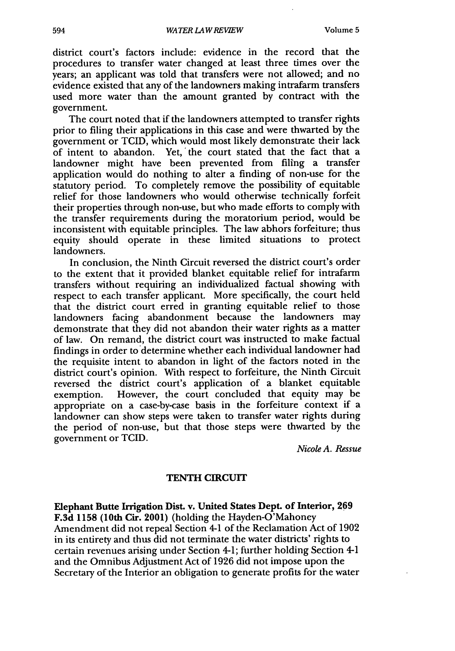district court's factors include: evidence in the record that the procedures to transfer water changed at least three times over the years; an applicant was told that transfers were not allowed; and no evidence existed that any of the landowners making intrafarm transfers used more water than the amount granted by contract with the government.

The court noted that if the landowners attempted to transfer rights prior to filing their applications in this case and were thwarted by the government or TCID, which would most likely demonstrate their lack of intent to abandon. Yet, 'the court stated that the fact that a landowner might have been prevented from filing a transfer application would do nothing to alter a finding of non-use for the statutory period. To completely remove the possibility of equitable relief for those landowners who would otherwise technically forfeit their properties through non-use, but who made efforts to comply with the transfer requirements during the moratorium period, would be inconsistent with equitable principles. The law abhors forfeiture; thus equity should operate in these limited situations to protect landowners.

In conclusion, the Ninth Circuit reversed the district court's order to the extent that it provided blanket equitable relief for intrafarm transfers without requiring an individualized factual showing with respect to each transfer applicant. More specifically, the court held that the district court erred in granting equitable relief to those landowners facing abandonment because the landowners may demonstrate that they did not abandon their water rights as a matter of law. On remand, the district court was instructed to make factual findings in order to determine whether each individual landowner had the requisite intent to abandon in light of the factors noted in the district court's opinion. With respect to forfeiture, the Ninth Circuit reversed the district court's application of a blanket equitable exemption. However, the court concluded that equity may be appropriate on a case-by-case basis in the forfeiture context if a landowner can show steps were taken to transfer water rights during the period of non-use, but that those steps were thwarted by the government or TCID.

*Nicole A. Ressue*

## **TENTH CIRCUIT**

Elephant Butte Irrigation Dist. v. United States Dept. of Interior, **269 F.3d 1158** (10th Cir. 2001) (holding the Hayden-O'Mahoney Amendment did not repeal Section 4-1 of the Reclamation Act of 1902 in its entirety and thus did not terminate the water districts' rights to certain revenues arising under Section 4-1; further holding Section 4-1 and the Omnibus Adjustment Act of 1926 did not impose upon the Secretary of the Interior an obligation to generate profits for the water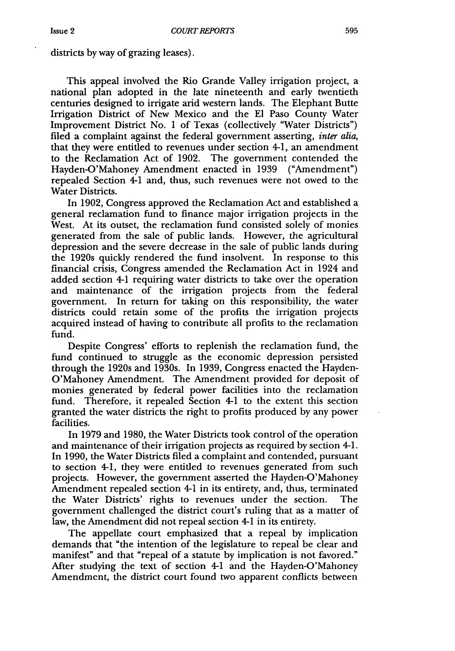districts **by** way of grazing leases).

This appeal involved the Rio Grande Valley irrigation project, a national plan adopted in the late nineteenth and early twentieth centuries designed to irrigate arid western lands. The Elephant Butte Irrigation District of New Mexico and the El Paso County Water Improvement District No. 1 of Texas (collectively "Water Districts") filed a complaint against the federal government asserting, *inter alia,* that they were entitled to revenues under section 4-1, an amendment to the Reclamation Act of 1902. The government contended the Hayden-O'Mahoney Amendment enacted in 1939 ("Amendment") repealed Section 4-1 and, thus, such revenues were not owed to the Water Districts.

In 1902, Congress approved the Reclamation Act and established a general reclamation fund to finance major irrigation projects in the West. At its outset, the reclamation fund consisted solely of monies generated from the sale of public lands. However, the agricultural depression and the severe decrease in the sale of public lands during the 1920s quickly rendered the fund insolvent. In response to this financial crisis, Congress amended the Reclamation Act in 1924 and added section 4-1 requiring water districts to take over the operation and maintenance of the irrigation projects from the federal government. In return for taking on this responsibility, the water districts could retain some of the profits the irrigation projects acquired instead of having to contribute all profits to the reclamation fund.

Despite Congress' efforts to replenish the reclamation fund, the fund continued to struggle as the economic depression persisted through the 1920s and 1930s. In 1939, Congress enacted the Hayden-O'Mahoney Amendment. The Amendment provided for deposit of monies generated by federal power facilities into the reclamation fund. Therefore, it repealed Section 4-1 to the extent this section granted the water districts the right to profits produced by any power facilities.

In 1979 and 1980, the Water Districts took control of the operation and maintenance of their irrigation projects as required by section 4-1. In 1990, the Water Districts filed a complaint and contended, pursuant to section 4-1, they were entitled to revenues generated from such projects. However, the government asserted the Hayden-O'Mahoney Amendment repealed section 4-1 in its entirety, and, thus, terminated the Water Districts' fights to revenues under the section. The government challenged the district court's ruling that as a matter of law, the Amendment did not repeal section 4-1 in its entirety.

The appellate court emphasized that a repeal by implication demands that "the intention of the legislature to repeal be clear and manifest" and that "repeal of a statute by implication is not favored." After studying the text of section 4-1 and the Hayden-O'Mahoney Amendment, the district court found two apparent conflicts between